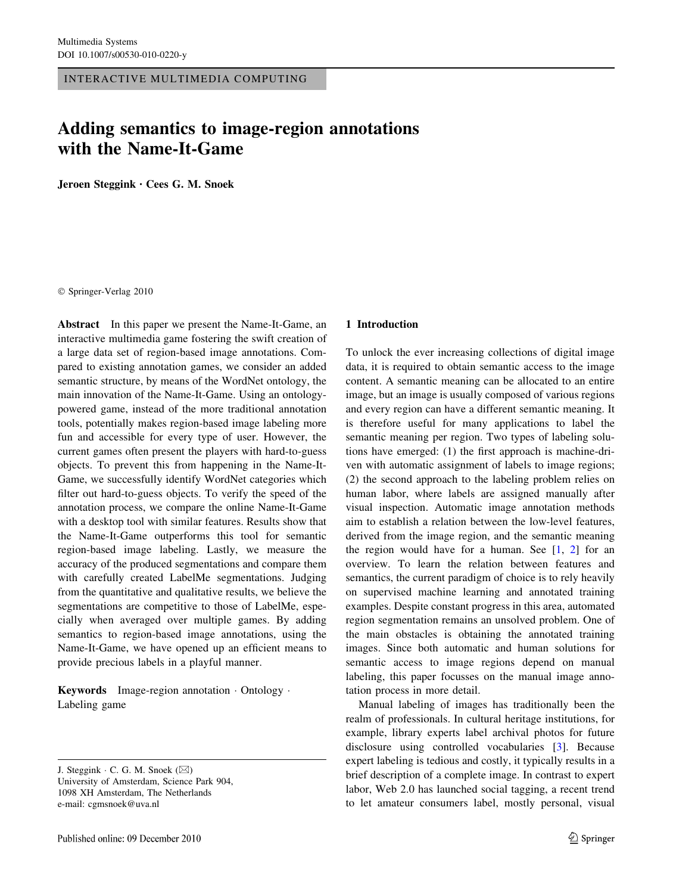INTERACTIVE MULTIMEDIA COMPUTING

# Adding semantics to image-region annotations with the Name-It-Game

Jeroen Steggink • Cees G. M. Snoek

© Springer-Verlag 2010

Abstract In this paper we present the Name-It-Game, an interactive multimedia game fostering the swift creation of a large data set of region-based image annotations. Compared to existing annotation games, we consider an added semantic structure, by means of the WordNet ontology, the main innovation of the Name-It-Game. Using an ontologypowered game, instead of the more traditional annotation tools, potentially makes region-based image labeling more fun and accessible for every type of user. However, the current games often present the players with hard-to-guess objects. To prevent this from happening in the Name-It-Game, we successfully identify WordNet categories which filter out hard-to-guess objects. To verify the speed of the annotation process, we compare the online Name-It-Game with a desktop tool with similar features. Results show that the Name-It-Game outperforms this tool for semantic region-based image labeling. Lastly, we measure the accuracy of the produced segmentations and compare them with carefully created LabelMe segmentations. Judging from the quantitative and qualitative results, we believe the segmentations are competitive to those of LabelMe, especially when averaged over multiple games. By adding semantics to region-based image annotations, using the Name-It-Game, we have opened up an efficient means to provide precious labels in a playful manner.

Keywords Image-region annotation - Ontology - Labeling game

#### 1 Introduction

To unlock the ever increasing collections of digital image data, it is required to obtain semantic access to the image content. A semantic meaning can be allocated to an entire image, but an image is usually composed of various regions and every region can have a different semantic meaning. It is therefore useful for many applications to label the semantic meaning per region. Two types of labeling solutions have emerged: (1) the first approach is machine-driven with automatic assignment of labels to image regions; (2) the second approach to the labeling problem relies on human labor, where labels are assigned manually after visual inspection. Automatic image annotation methods aim to establish a relation between the low-level features, derived from the image region, and the semantic meaning the region would have for a human. See [\[1](#page-11-0), [2\]](#page-11-0) for an overview. To learn the relation between features and semantics, the current paradigm of choice is to rely heavily on supervised machine learning and annotated training examples. Despite constant progress in this area, automated region segmentation remains an unsolved problem. One of the main obstacles is obtaining the annotated training images. Since both automatic and human solutions for semantic access to image regions depend on manual labeling, this paper focusses on the manual image annotation process in more detail.

Manual labeling of images has traditionally been the realm of professionals. In cultural heritage institutions, for example, library experts label archival photos for future disclosure using controlled vocabularies [[3\]](#page-11-0). Because expert labeling is tedious and costly, it typically results in a brief description of a complete image. In contrast to expert labor, Web 2.0 has launched social tagging, a recent trend to let amateur consumers label, mostly personal, visual

J. Steggink  $\cdot$  C. G. M. Snoek ( $\boxtimes$ ) University of Amsterdam, Science Park 904, 1098 XH Amsterdam, The Netherlands e-mail: cgmsnoek@uva.nl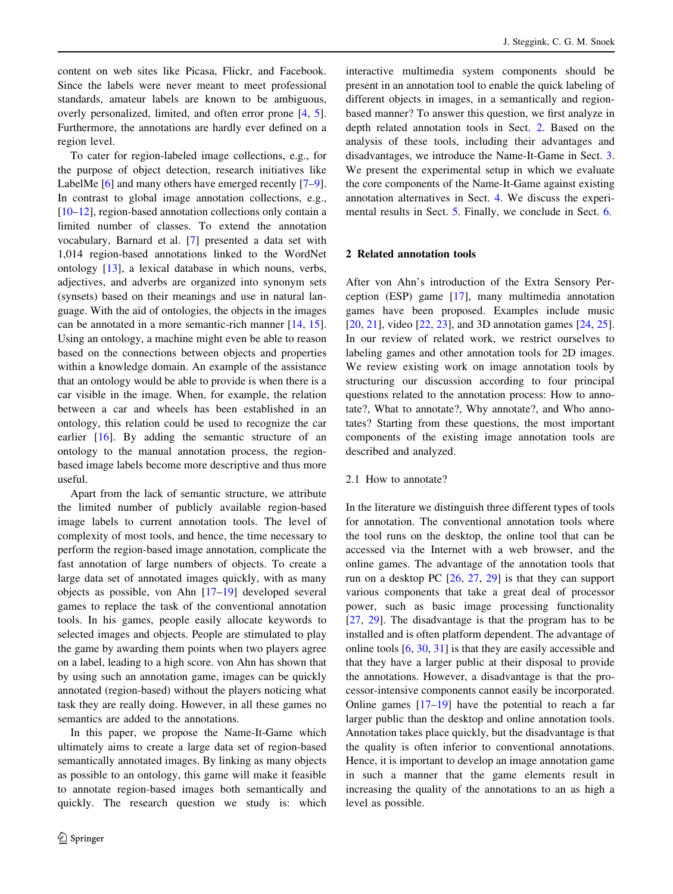<span id="page-1-0"></span>content on web sites like Picasa, Flickr, and Facebook. Since the labels were never meant to meet professional standards, amateur labels are known to be ambiguous, overly personalized, limited, and often error prone [\[4](#page-11-0), [5](#page-11-0)]. Furthermore, the annotations are hardly ever defined on a region level.

To cater for region-labeled image collections, e.g., for the purpose of object detection, research initiatives like LabelMe [[6\]](#page-11-0) and many others have emerged recently [\[7–9](#page-11-0)]. In contrast to global image annotation collections, e.g., [\[10–12](#page-11-0)], region-based annotation collections only contain a limited number of classes. To extend the annotation vocabulary, Barnard et al. [\[7](#page-11-0)] presented a data set with 1,014 region-based annotations linked to the WordNet ontology [\[13](#page-11-0)], a lexical database in which nouns, verbs, adjectives, and adverbs are organized into synonym sets (synsets) based on their meanings and use in natural language. With the aid of ontologies, the objects in the images can be annotated in a more semantic-rich manner [[14,](#page-11-0) [15](#page-11-0)]. Using an ontology, a machine might even be able to reason based on the connections between objects and properties within a knowledge domain. An example of the assistance that an ontology would be able to provide is when there is a car visible in the image. When, for example, the relation between a car and wheels has been established in an ontology, this relation could be used to recognize the car earlier [[16\]](#page-11-0). By adding the semantic structure of an ontology to the manual annotation process, the regionbased image labels become more descriptive and thus more useful.

Apart from the lack of semantic structure, we attribute the limited number of publicly available region-based image labels to current annotation tools. The level of complexity of most tools, and hence, the time necessary to perform the region-based image annotation, complicate the fast annotation of large numbers of objects. To create a large data set of annotated images quickly, with as many objects as possible, von Ahn [[17–19\]](#page-11-0) developed several games to replace the task of the conventional annotation tools. In his games, people easily allocate keywords to selected images and objects. People are stimulated to play the game by awarding them points when two players agree on a label, leading to a high score. von Ahn has shown that by using such an annotation game, images can be quickly annotated (region-based) without the players noticing what task they are really doing. However, in all these games no semantics are added to the annotations.

In this paper, we propose the Name-It-Game which ultimately aims to create a large data set of region-based semantically annotated images. By linking as many objects as possible to an ontology, this game will make it feasible to annotate region-based images both semantically and quickly. The research question we study is: which

interactive multimedia system components should be present in an annotation tool to enable the quick labeling of different objects in images, in a semantically and regionbased manner? To answer this question, we first analyze in depth related annotation tools in Sect. 2. Based on the analysis of these tools, including their advantages and disadvantages, we introduce the Name-It-Game in Sect. [3.](#page-4-0) We present the experimental setup in which we evaluate the core components of the Name-It-Game against existing annotation alternatives in Sect. [4.](#page-6-0) We discuss the experimental results in Sect. [5](#page-7-0). Finally, we conclude in Sect. [6](#page-9-0).

## 2 Related annotation tools

After von Ahn's introduction of the Extra Sensory Perception (ESP) game [\[17](#page-11-0)], many multimedia annotation games have been proposed. Examples include music [\[20](#page-11-0), [21\]](#page-11-0), video [\[22](#page-11-0), [23](#page-11-0)], and 3D annotation games [\[24](#page-11-0), [25](#page-11-0)]. In our review of related work, we restrict ourselves to labeling games and other annotation tools for 2D images. We review existing work on image annotation tools by structuring our discussion according to four principal questions related to the annotation process: How to annotate?, What to annotate?, Why annotate?, and Who annotates? Starting from these questions, the most important components of the existing image annotation tools are described and analyzed.

#### 2.1 How to annotate?

In the literature we distinguish three different types of tools for annotation. The conventional annotation tools where the tool runs on the desktop, the online tool that can be accessed via the Internet with a web browser, and the online games. The advantage of the annotation tools that run on a desktop PC [\[26](#page-11-0), [27](#page-11-0), [29](#page-11-0)] is that they can support various components that take a great deal of processor power, such as basic image processing functionality [\[27](#page-11-0), [29\]](#page-11-0). The disadvantage is that the program has to be installed and is often platform dependent. The advantage of online tools [[6,](#page-11-0) [30,](#page-11-0) [31\]](#page-11-0) is that they are easily accessible and that they have a larger public at their disposal to provide the annotations. However, a disadvantage is that the processor-intensive components cannot easily be incorporated. Online games [[17–19\]](#page-11-0) have the potential to reach a far larger public than the desktop and online annotation tools. Annotation takes place quickly, but the disadvantage is that the quality is often inferior to conventional annotations. Hence, it is important to develop an image annotation game in such a manner that the game elements result in increasing the quality of the annotations to an as high a level as possible.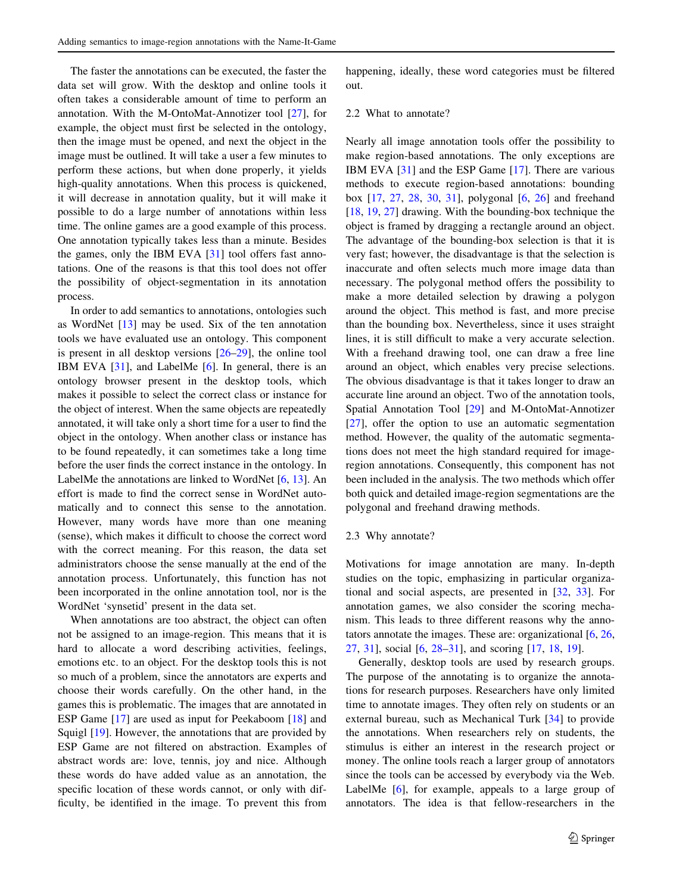The faster the annotations can be executed, the faster the data set will grow. With the desktop and online tools it often takes a considerable amount of time to perform an annotation. With the M-OntoMat-Annotizer tool [[27\]](#page-11-0), for example, the object must first be selected in the ontology, then the image must be opened, and next the object in the image must be outlined. It will take a user a few minutes to perform these actions, but when done properly, it yields high-quality annotations. When this process is quickened, it will decrease in annotation quality, but it will make it possible to do a large number of annotations within less time. The online games are a good example of this process. One annotation typically takes less than a minute. Besides the games, only the IBM EVA  $[31]$  $[31]$  tool offers fast annotations. One of the reasons is that this tool does not offer the possibility of object-segmentation in its annotation process.

In order to add semantics to annotations, ontologies such as WordNet [[13\]](#page-11-0) may be used. Six of the ten annotation tools we have evaluated use an ontology. This component is present in all desktop versions [\[26–29](#page-11-0)], the online tool IBM EVA [\[31](#page-11-0)], and LabelMe [[6\]](#page-11-0). In general, there is an ontology browser present in the desktop tools, which makes it possible to select the correct class or instance for the object of interest. When the same objects are repeatedly annotated, it will take only a short time for a user to find the object in the ontology. When another class or instance has to be found repeatedly, it can sometimes take a long time before the user finds the correct instance in the ontology. In LabelMe the annotations are linked to WordNet [[6,](#page-11-0) [13\]](#page-11-0). An effort is made to find the correct sense in WordNet automatically and to connect this sense to the annotation. However, many words have more than one meaning (sense), which makes it difficult to choose the correct word with the correct meaning. For this reason, the data set administrators choose the sense manually at the end of the annotation process. Unfortunately, this function has not been incorporated in the online annotation tool, nor is the WordNet 'synsetid' present in the data set.

When annotations are too abstract, the object can often not be assigned to an image-region. This means that it is hard to allocate a word describing activities, feelings, emotions etc. to an object. For the desktop tools this is not so much of a problem, since the annotators are experts and choose their words carefully. On the other hand, in the games this is problematic. The images that are annotated in ESP Game [[17\]](#page-11-0) are used as input for Peekaboom [\[18](#page-11-0)] and Squigl [\[19](#page-11-0)]. However, the annotations that are provided by ESP Game are not filtered on abstraction. Examples of abstract words are: love, tennis, joy and nice. Although these words do have added value as an annotation, the specific location of these words cannot, or only with difficulty, be identified in the image. To prevent this from happening, ideally, these word categories must be filtered out.

#### 2.2 What to annotate?

Nearly all image annotation tools offer the possibility to make region-based annotations. The only exceptions are IBM EVA [[31\]](#page-11-0) and the ESP Game [\[17](#page-11-0)]. There are various methods to execute region-based annotations: bounding box [\[17](#page-11-0), [27](#page-11-0), [28,](#page-11-0) [30](#page-11-0), [31\]](#page-11-0), polygonal [[6,](#page-11-0) [26](#page-11-0)] and freehand [\[18](#page-11-0), [19,](#page-11-0) [27\]](#page-11-0) drawing. With the bounding-box technique the object is framed by dragging a rectangle around an object. The advantage of the bounding-box selection is that it is very fast; however, the disadvantage is that the selection is inaccurate and often selects much more image data than necessary. The polygonal method offers the possibility to make a more detailed selection by drawing a polygon around the object. This method is fast, and more precise than the bounding box. Nevertheless, since it uses straight lines, it is still difficult to make a very accurate selection. With a freehand drawing tool, one can draw a free line around an object, which enables very precise selections. The obvious disadvantage is that it takes longer to draw an accurate line around an object. Two of the annotation tools, Spatial Annotation Tool [\[29](#page-11-0)] and M-OntoMat-Annotizer [\[27](#page-11-0)], offer the option to use an automatic segmentation method. However, the quality of the automatic segmentations does not meet the high standard required for imageregion annotations. Consequently, this component has not been included in the analysis. The two methods which offer both quick and detailed image-region segmentations are the polygonal and freehand drawing methods.

## 2.3 Why annotate?

Motivations for image annotation are many. In-depth studies on the topic, emphasizing in particular organizational and social aspects, are presented in [[32,](#page-11-0) [33\]](#page-11-0). For annotation games, we also consider the scoring mechanism. This leads to three different reasons why the annotators annotate the images. These are: organizational [[6,](#page-11-0) [26,](#page-11-0) [27](#page-11-0), [31\]](#page-11-0), social [\[6](#page-11-0), [28–31\]](#page-11-0), and scoring [[17,](#page-11-0) [18,](#page-11-0) [19](#page-11-0)].

Generally, desktop tools are used by research groups. The purpose of the annotating is to organize the annotations for research purposes. Researchers have only limited time to annotate images. They often rely on students or an external bureau, such as Mechanical Turk [[34](#page-11-0)] to provide the annotations. When researchers rely on students, the stimulus is either an interest in the research project or money. The online tools reach a larger group of annotators since the tools can be accessed by everybody via the Web. LabelMe [[6\]](#page-11-0), for example, appeals to a large group of annotators. The idea is that fellow-researchers in the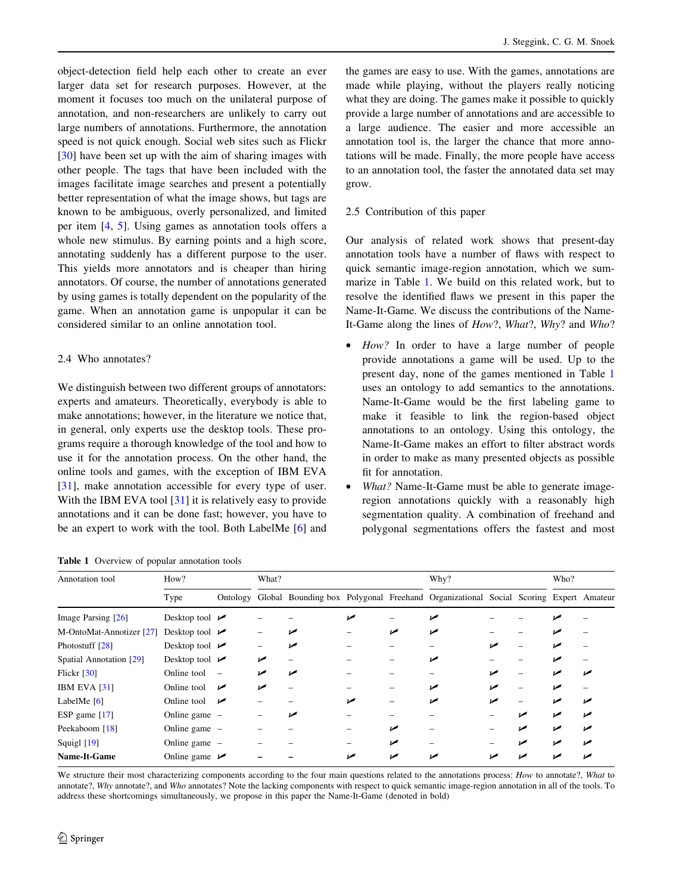<span id="page-3-0"></span>object-detection field help each other to create an ever larger data set for research purposes. However, at the moment it focuses too much on the unilateral purpose of annotation, and non-researchers are unlikely to carry out large numbers of annotations. Furthermore, the annotation speed is not quick enough. Social web sites such as Flickr [\[30](#page-11-0)] have been set up with the aim of sharing images with other people. The tags that have been included with the images facilitate image searches and present a potentially better representation of what the image shows, but tags are known to be ambiguous, overly personalized, and limited per item [[4,](#page-11-0) [5](#page-11-0)]. Using games as annotation tools offers a whole new stimulus. By earning points and a high score, annotating suddenly has a different purpose to the user. This yields more annotators and is cheaper than hiring annotators. Of course, the number of annotations generated by using games is totally dependent on the popularity of the game. When an annotation game is unpopular it can be considered similar to an online annotation tool.

## 2.4 Who annotates?

We distinguish between two different groups of annotators: experts and amateurs. Theoretically, everybody is able to make annotations; however, in the literature we notice that, in general, only experts use the desktop tools. These programs require a thorough knowledge of the tool and how to use it for the annotation process. On the other hand, the online tools and games, with the exception of IBM EVA [\[31](#page-11-0)], make annotation accessible for every type of user. With the IBM EVA tool [\[31](#page-11-0)] it is relatively easy to provide annotations and it can be done fast; however, you have to be an expert to work with the tool. Both LabelMe [\[6](#page-11-0)] and

Table 1 Overview of popular annotation tools

the games are easy to use. With the games, annotations are made while playing, without the players really noticing what they are doing. The games make it possible to quickly provide a large number of annotations and are accessible to a large audience. The easier and more accessible an annotation tool is, the larger the chance that more annotations will be made. Finally, the more people have access to an annotation tool, the faster the annotated data set may grow.

# 2.5 Contribution of this paper

Our analysis of related work shows that present-day annotation tools have a number of flaws with respect to quick semantic image-region annotation, which we summarize in Table 1. We build on this related work, but to resolve the identified flaws we present in this paper the Name-It-Game. We discuss the contributions of the Name-It-Game along the lines of How?, What?, Why? and Who?

- How? In order to have a large number of people provide annotations a game will be used. Up to the present day, none of the games mentioned in Table 1 uses an ontology to add semantics to the annotations. Name-It-Game would be the first labeling game to make it feasible to link the region-based object annotations to an ontology. Using this ontology, the Name-It-Game makes an effort to filter abstract words in order to make as many presented objects as possible fit for annotation.
- What? Name-It-Game must be able to generate imageregion annotations quickly with a reasonably high segmentation quality. A combination of freehand and polygonal segmentations offers the fastest and most

| Annotation tool          | How?                               |          | What? |     | Why? | Who?                                                                                |     |     |     |     |
|--------------------------|------------------------------------|----------|-------|-----|------|-------------------------------------------------------------------------------------|-----|-----|-----|-----|
|                          | Type                               | Ontology |       |     |      | Global Bounding box Polygonal Freehand Organizational Social Scoring Expert Amateur |     |     |     |     |
| Image Parsing [26]       | Desktop tool $\blacktriangleright$ |          |       |     |      | مما                                                                                 |     |     |     |     |
| M-OntoMat-Annotizer [27] | Desktop tool $\blacktriangleright$ |          |       |     |      | مما                                                                                 |     |     |     |     |
| Photostuff [28]          | Desktop tool $\blacktriangleright$ |          |       |     |      |                                                                                     | ↙   |     |     |     |
| Spatial Annotation [29]  | Desktop tool $\blacktriangleright$ |          | مما   |     |      | ↙                                                                                   |     |     |     |     |
| Flickr $[30]$            | Online tool                        |          | مما   |     |      |                                                                                     | ↙   |     |     |     |
| <b>IBM EVA [31]</b>      | Online tool                        | مما      | مما   |     |      | مما                                                                                 | مما |     | مرا |     |
| LabelMe $[6]$            | Online tool                        | مما      |       | مما |      | مما                                                                                 | مما |     |     |     |
| ESP game [17]            | Online game $-$                    |          |       |     |      |                                                                                     |     | مما | مرا |     |
| Peekaboom [18]           | Online game $-$                    |          |       |     |      |                                                                                     |     | مما | مم  | مم  |
| Squigl [19]              | Online game $-$                    |          |       |     | مرا  |                                                                                     |     | ✔   | مما | مرا |
| Name-It-Game             | Online game $\blacktriangleright$  |          |       |     |      |                                                                                     | ↙   |     |     |     |

We structure their most characterizing components according to the four main questions related to the annotations process: How to annotate?, What to annotate?, Why annotate?, and Who annotates? Note the lacking components with respect to quick semantic image-region annotation in all of the tools. To address these shortcomings simultaneously, we propose in this paper the Name-It-Game (denoted in bold)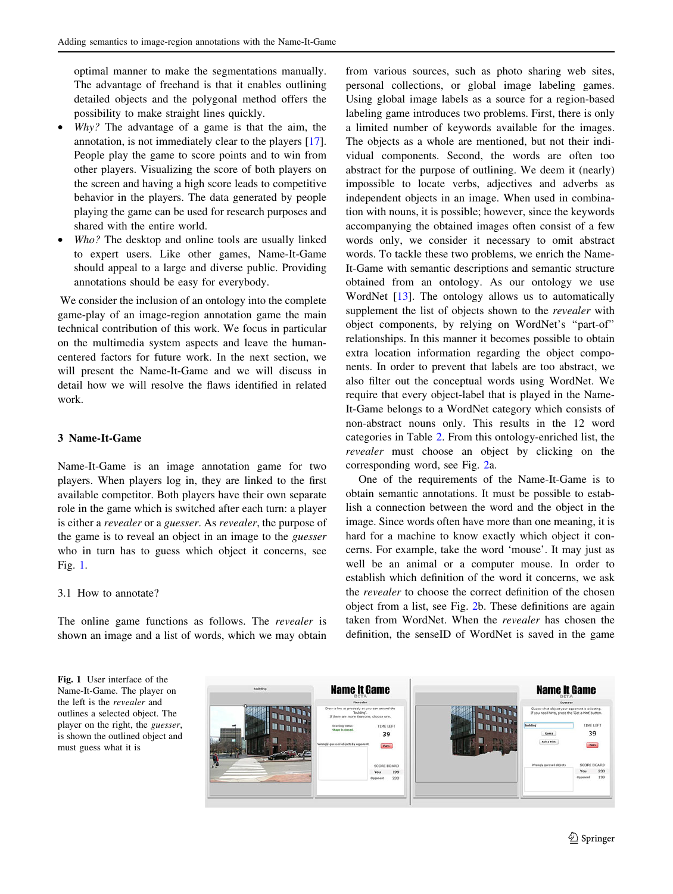<span id="page-4-0"></span>optimal manner to make the segmentations manually. The advantage of freehand is that it enables outlining detailed objects and the polygonal method offers the possibility to make straight lines quickly.

- $Why$ ? The advantage of a game is that the aim, the annotation, is not immediately clear to the players [\[17](#page-11-0)]. People play the game to score points and to win from other players. Visualizing the score of both players on the screen and having a high score leads to competitive behavior in the players. The data generated by people playing the game can be used for research purposes and shared with the entire world.
- Who? The desktop and online tools are usually linked to expert users. Like other games, Name-It-Game should appeal to a large and diverse public. Providing annotations should be easy for everybody.

We consider the inclusion of an ontology into the complete game-play of an image-region annotation game the main technical contribution of this work. We focus in particular on the multimedia system aspects and leave the humancentered factors for future work. In the next section, we will present the Name-It-Game and we will discuss in detail how we will resolve the flaws identified in related work.

## 3 Name-It-Game

Name-It-Game is an image annotation game for two players. When players log in, they are linked to the first available competitor. Both players have their own separate role in the game which is switched after each turn: a player is either a revealer or a guesser. As revealer, the purpose of the game is to reveal an object in an image to the guesser who in turn has to guess which object it concerns, see Fig. 1.

#### 3.1 How to annotate?

The online game functions as follows. The revealer is shown an image and a list of words, which we may obtain from various sources, such as photo sharing web sites, personal collections, or global image labeling games. Using global image labels as a source for a region-based labeling game introduces two problems. First, there is only a limited number of keywords available for the images. The objects as a whole are mentioned, but not their individual components. Second, the words are often too abstract for the purpose of outlining. We deem it (nearly) impossible to locate verbs, adjectives and adverbs as independent objects in an image. When used in combination with nouns, it is possible; however, since the keywords accompanying the obtained images often consist of a few words only, we consider it necessary to omit abstract words. To tackle these two problems, we enrich the Name-It-Game with semantic descriptions and semantic structure obtained from an ontology. As our ontology we use WordNet [\[13](#page-11-0)]. The ontology allows us to automatically supplement the list of objects shown to the *revealer* with object components, by relying on WordNet's ''part-of'' relationships. In this manner it becomes possible to obtain extra location information regarding the object components. In order to prevent that labels are too abstract, we also filter out the conceptual words using WordNet. We require that every object-label that is played in the Name-It-Game belongs to a WordNet category which consists of non-abstract nouns only. This results in the 12 word categories in Table [2](#page-5-0). From this ontology-enriched list, the revealer must choose an object by clicking on the corresponding word, see Fig. [2](#page-5-0)a.

One of the requirements of the Name-It-Game is to obtain semantic annotations. It must be possible to establish a connection between the word and the object in the image. Since words often have more than one meaning, it is hard for a machine to know exactly which object it concerns. For example, take the word 'mouse'. It may just as well be an animal or a computer mouse. In order to establish which definition of the word it concerns, we ask the revealer to choose the correct definition of the chosen object from a list, see Fig. [2](#page-5-0)b. These definitions are again taken from WordNet. When the revealer has chosen the definition, the senseID of WordNet is saved in the game

Fig. 1 User interface of the Name-It-Game. The player on the left is the revealer and outlines a selected object. The player on the right, the guesser, is shown the outlined object and must guess what it is

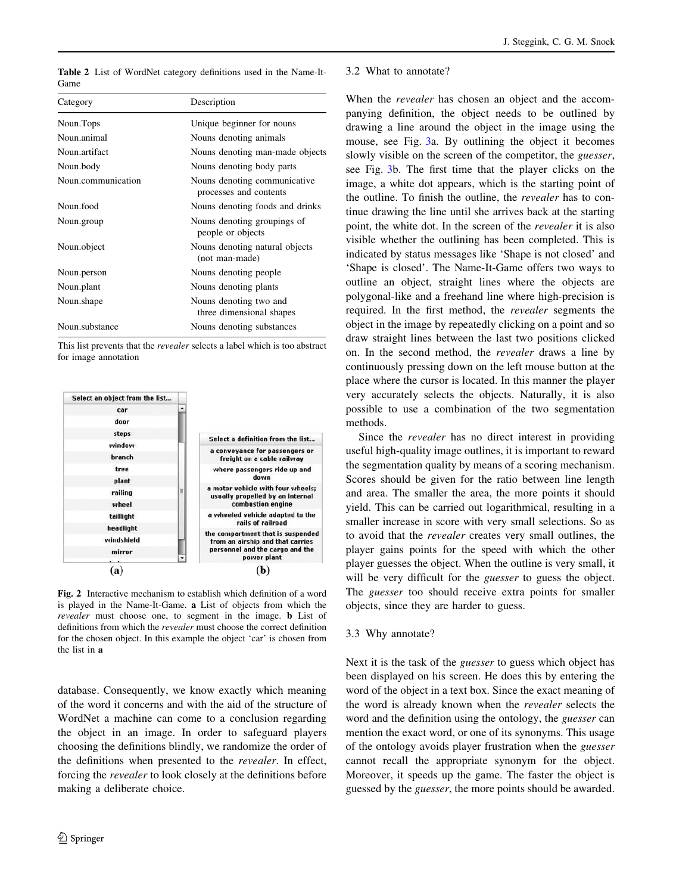Category Description Noun.Tops Unique beginner for nouns Noun.animal Nouns denoting animals Noun.artifact Nouns denoting man-made objects Noun.body Nouns denoting body parts Noun.communication Nouns denoting communicative processes and contents Noun.food Nouns denoting foods and drinks Noun.group Nouns denoting groupings of people or objects Noun.object Nouns denoting natural objects (not man-made) Noun.person Nouns denoting people Noun.plant Nouns denoting plants Noun.shape Nouns denoting two and three dimensional shapes Noun.substance Nouns denoting substances

<span id="page-5-0"></span>Table 2 List of WordNet category definitions used in the Name-It-Game

This list prevents that the revealer selects a label which is too abstract for image annotation



Fig. 2 Interactive mechanism to establish which definition of a word is played in the Name-It-Game. a List of objects from which the revealer must choose one, to segment in the image. b List of definitions from which the revealer must choose the correct definition for the chosen object. In this example the object 'car' is chosen from the list in a

database. Consequently, we know exactly which meaning of the word it concerns and with the aid of the structure of WordNet a machine can come to a conclusion regarding the object in an image. In order to safeguard players choosing the definitions blindly, we randomize the order of the definitions when presented to the revealer. In effect, forcing the revealer to look closely at the definitions before making a deliberate choice.

## 3.2 What to annotate?

When the *revealer* has chosen an object and the accompanying definition, the object needs to be outlined by drawing a line around the object in the image using the mouse, see Fig. [3a](#page-6-0). By outlining the object it becomes slowly visible on the screen of the competitor, the guesser, see Fig. [3b](#page-6-0). The first time that the player clicks on the image, a white dot appears, which is the starting point of the outline. To finish the outline, the revealer has to continue drawing the line until she arrives back at the starting point, the white dot. In the screen of the revealer it is also visible whether the outlining has been completed. This is indicated by status messages like 'Shape is not closed' and 'Shape is closed'. The Name-It-Game offers two ways to outline an object, straight lines where the objects are polygonal-like and a freehand line where high-precision is required. In the first method, the revealer segments the object in the image by repeatedly clicking on a point and so draw straight lines between the last two positions clicked on. In the second method, the revealer draws a line by continuously pressing down on the left mouse button at the place where the cursor is located. In this manner the player very accurately selects the objects. Naturally, it is also possible to use a combination of the two segmentation methods.

Since the revealer has no direct interest in providing useful high-quality image outlines, it is important to reward the segmentation quality by means of a scoring mechanism. Scores should be given for the ratio between line length and area. The smaller the area, the more points it should yield. This can be carried out logarithmical, resulting in a smaller increase in score with very small selections. So as to avoid that the revealer creates very small outlines, the player gains points for the speed with which the other player guesses the object. When the outline is very small, it will be very difficult for the *guesser* to guess the object. The *guesser* too should receive extra points for smaller objects, since they are harder to guess.

## 3.3 Why annotate?

Next it is the task of the guesser to guess which object has been displayed on his screen. He does this by entering the word of the object in a text box. Since the exact meaning of the word is already known when the revealer selects the word and the definition using the ontology, the guesser can mention the exact word, or one of its synonyms. This usage of the ontology avoids player frustration when the guesser cannot recall the appropriate synonym for the object. Moreover, it speeds up the game. The faster the object is guessed by the guesser, the more points should be awarded.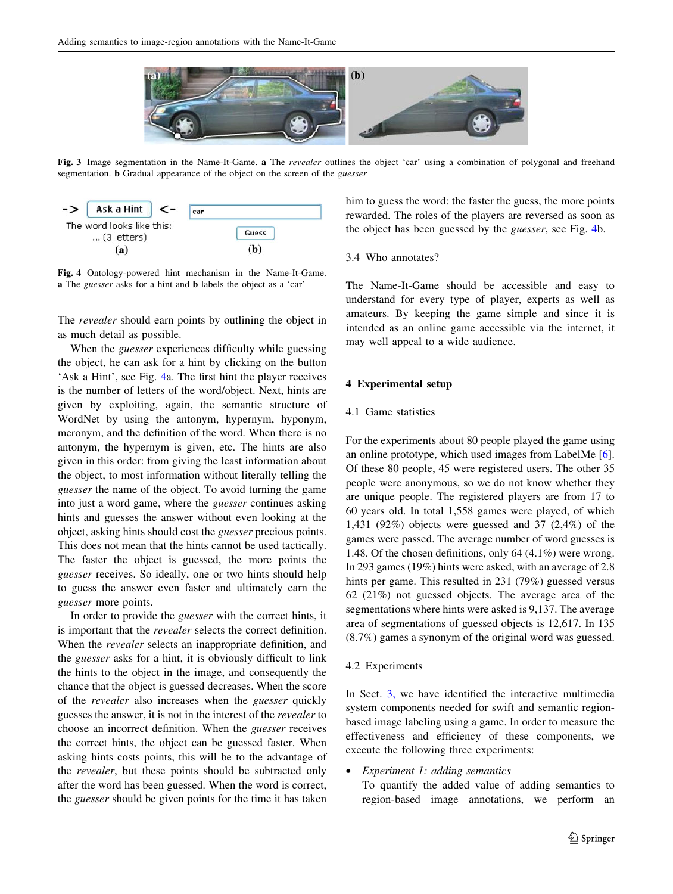<span id="page-6-0"></span>

Fig. 3 Image segmentation in the Name-It-Game. a The revealer outlines the object 'car' using a combination of polygonal and freehand segmentation. **b** Gradual appearance of the object on the screen of the *guesser* 



Fig. 4 Ontology-powered hint mechanism in the Name-It-Game. a The guesser asks for a hint and b labels the object as a 'car'

The *revealer* should earn points by outlining the object in as much detail as possible.

When the *guesser* experiences difficulty while guessing the object, he can ask for a hint by clicking on the button 'Ask a Hint', see Fig. 4a. The first hint the player receives is the number of letters of the word/object. Next, hints are given by exploiting, again, the semantic structure of WordNet by using the antonym, hypernym, hyponym, meronym, and the definition of the word. When there is no antonym, the hypernym is given, etc. The hints are also given in this order: from giving the least information about the object, to most information without literally telling the guesser the name of the object. To avoid turning the game into just a word game, where the guesser continues asking hints and guesses the answer without even looking at the object, asking hints should cost the guesser precious points. This does not mean that the hints cannot be used tactically. The faster the object is guessed, the more points the guesser receives. So ideally, one or two hints should help to guess the answer even faster and ultimately earn the guesser more points.

In order to provide the guesser with the correct hints, it is important that the revealer selects the correct definition. When the *revealer* selects an inappropriate definition, and the guesser asks for a hint, it is obviously difficult to link the hints to the object in the image, and consequently the chance that the object is guessed decreases. When the score of the revealer also increases when the guesser quickly guesses the answer, it is not in the interest of the revealer to choose an incorrect definition. When the guesser receives the correct hints, the object can be guessed faster. When asking hints costs points, this will be to the advantage of the revealer, but these points should be subtracted only after the word has been guessed. When the word is correct, the guesser should be given points for the time it has taken him to guess the word: the faster the guess, the more points rewarded. The roles of the players are reversed as soon as the object has been guessed by the guesser, see Fig. 4b.

#### 3.4 Who annotates?

The Name-It-Game should be accessible and easy to understand for every type of player, experts as well as amateurs. By keeping the game simple and since it is intended as an online game accessible via the internet, it may well appeal to a wide audience.

## 4 Experimental setup

# 4.1 Game statistics

For the experiments about 80 people played the game using an online prototype, which used images from LabelMe [\[6](#page-11-0)]. Of these 80 people, 45 were registered users. The other 35 people were anonymous, so we do not know whether they are unique people. The registered players are from 17 to 60 years old. In total 1,558 games were played, of which 1,431 (92%) objects were guessed and 37 (2,4%) of the games were passed. The average number of word guesses is 1.48. Of the chosen definitions, only 64 (4.1%) were wrong. In 293 games (19%) hints were asked, with an average of 2.8 hints per game. This resulted in 231 (79%) guessed versus 62 (21%) not guessed objects. The average area of the segmentations where hints were asked is 9,137. The average area of segmentations of guessed objects is 12,617. In 135 (8.7%) games a synonym of the original word was guessed.

#### 4.2 Experiments

In Sect. [3,](#page-4-0) we have identified the interactive multimedia system components needed for swift and semantic regionbased image labeling using a game. In order to measure the effectiveness and efficiency of these components, we execute the following three experiments:

• Experiment 1: adding semantics

To quantify the added value of adding semantics to region-based image annotations, we perform an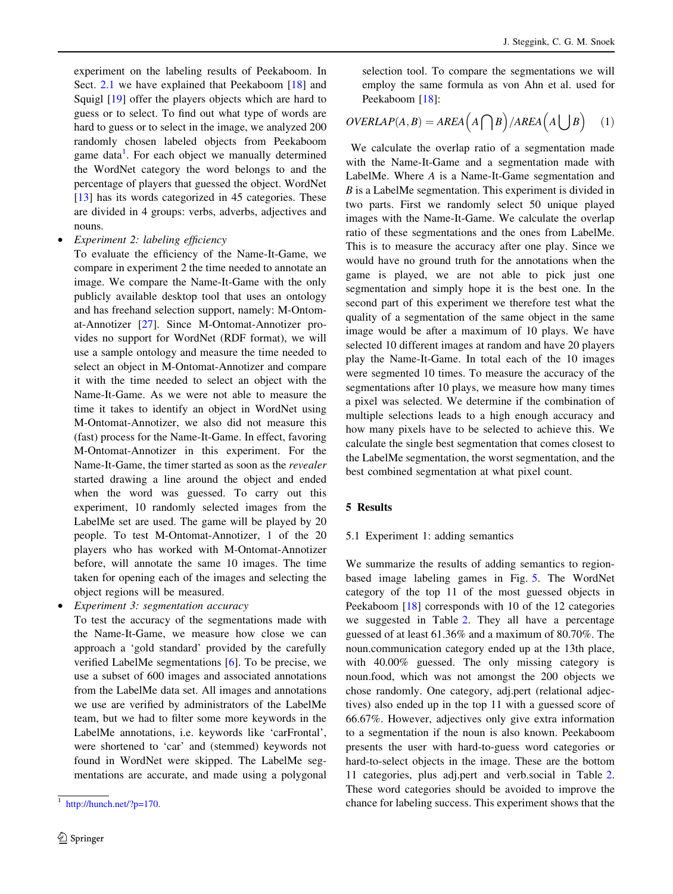<span id="page-7-0"></span>experiment on the labeling results of Peekaboom. In Sect. [2.1](#page-1-0) we have explained that Peekaboom [[18\]](#page-11-0) and Squigl [\[19](#page-11-0)] offer the players objects which are hard to guess or to select. To find out what type of words are hard to guess or to select in the image, we analyzed 200 randomly chosen labeled objects from Peekaboom game data<sup>1</sup>. For each object we manually determined the WordNet category the word belongs to and the percentage of players that guessed the object. WordNet [[13\]](#page-11-0) has its words categorized in 45 categories. These are divided in 4 groups: verbs, adverbs, adjectives and nouns.

## • Experiment 2: labeling efficiency

To evaluate the efficiency of the Name-It-Game, we compare in experiment 2 the time needed to annotate an image. We compare the Name-It-Game with the only publicly available desktop tool that uses an ontology and has freehand selection support, namely: M-Ontomat-Annotizer [[27\]](#page-11-0). Since M-Ontomat-Annotizer provides no support for WordNet (RDF format), we will use a sample ontology and measure the time needed to select an object in M-Ontomat-Annotizer and compare it with the time needed to select an object with the Name-It-Game. As we were not able to measure the time it takes to identify an object in WordNet using M-Ontomat-Annotizer, we also did not measure this (fast) process for the Name-It-Game. In effect, favoring M-Ontomat-Annotizer in this experiment. For the Name-It-Game, the timer started as soon as the revealer started drawing a line around the object and ended when the word was guessed. To carry out this experiment, 10 randomly selected images from the LabelMe set are used. The game will be played by 20 people. To test M-Ontomat-Annotizer, 1 of the 20 players who has worked with M-Ontomat-Annotizer before, will annotate the same 10 images. The time taken for opening each of the images and selecting the object regions will be measured.

Experiment 3: segmentation accuracy

To test the accuracy of the segmentations made with the Name-It-Game, we measure how close we can approach a 'gold standard' provided by the carefully verified LabelMe segmentations [[6](#page-11-0)]. To be precise, we use a subset of 600 images and associated annotations from the LabelMe data set. All images and annotations we use are verified by administrators of the LabelMe team, but we had to filter some more keywords in the LabelMe annotations, i.e. keywords like 'carFrontal', were shortened to 'car' and (stemmed) keywords not found in WordNet were skipped. The LabelMe segmentations are accurate, and made using a polygonal

selection tool. To compare the segmentations we will employ the same formula as von Ahn et al. used for Peekaboom [\[18](#page-11-0)]:

$$
OVERLAP(A, B) = AREA(A \cap B) / AREA(A \cup B) \quad (1)
$$

We calculate the overlap ratio of a segmentation made with the Name-It-Game and a segmentation made with LabelMe. Where A is a Name-It-Game segmentation and B is a LabelMe segmentation. This experiment is divided in two parts. First we randomly select 50 unique played images with the Name-It-Game. We calculate the overlap ratio of these segmentations and the ones from LabelMe. This is to measure the accuracy after one play. Since we would have no ground truth for the annotations when the game is played, we are not able to pick just one segmentation and simply hope it is the best one. In the second part of this experiment we therefore test what the quality of a segmentation of the same object in the same image would be after a maximum of 10 plays. We have selected 10 different images at random and have 20 players play the Name-It-Game. In total each of the 10 images were segmented 10 times. To measure the accuracy of the segmentations after 10 plays, we measure how many times a pixel was selected. We determine if the combination of multiple selections leads to a high enough accuracy and how many pixels have to be selected to achieve this. We calculate the single best segmentation that comes closest to the LabelMe segmentation, the worst segmentation, and the best combined segmentation at what pixel count.

# 5 Results

#### 5.1 Experiment 1: adding semantics

We summarize the results of adding semantics to regionbased image labeling games in Fig. [5.](#page-8-0) The WordNet category of the top 11 of the most guessed objects in Peekaboom [[18\]](#page-11-0) corresponds with 10 of the 12 categories we suggested in Table [2](#page-5-0). They all have a percentage guessed of at least 61.36% and a maximum of 80.70%. The noun.communication category ended up at the 13th place, with 40.00% guessed. The only missing category is noun.food, which was not amongst the 200 objects we chose randomly. One category, adj.pert (relational adjectives) also ended up in the top 11 with a guessed score of 66.67%. However, adjectives only give extra information to a segmentation if the noun is also known. Peekaboom presents the user with hard-to-guess word categories or hard-to-select objects in the image. These are the bottom 11 categories, plus adj.pert and verb.social in Table [2.](#page-5-0) These word categories should be avoided to improve the <sup>1</sup> [http://hunch.net/?p=170.](http://hunch.net/?p=170) chance for labeling success. This experiment shows that the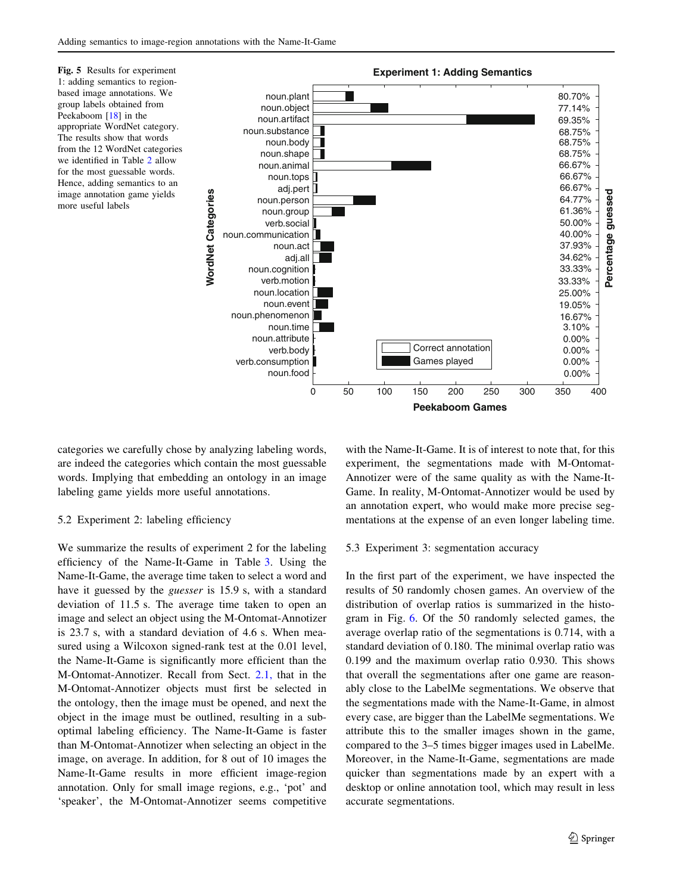<span id="page-8-0"></span>

categories we carefully chose by analyzing labeling words, are indeed the categories which contain the most guessable words. Implying that embedding an ontology in an image labeling game yields more useful annotations.

#### 5.2 Experiment 2: labeling efficiency

We summarize the results of experiment 2 for the labeling efficiency of the Name-It-Game in Table [3](#page-9-0). Using the Name-It-Game, the average time taken to select a word and have it guessed by the guesser is 15.9 s, with a standard deviation of 11.5 s. The average time taken to open an image and select an object using the M-Ontomat-Annotizer is 23.7 s, with a standard deviation of 4.6 s. When measured using a Wilcoxon signed-rank test at the 0.01 level, the Name-It-Game is significantly more efficient than the M-Ontomat-Annotizer. Recall from Sect. [2.1,](#page-1-0) that in the M-Ontomat-Annotizer objects must first be selected in the ontology, then the image must be opened, and next the object in the image must be outlined, resulting in a suboptimal labeling efficiency. The Name-It-Game is faster than M-Ontomat-Annotizer when selecting an object in the image, on average. In addition, for 8 out of 10 images the Name-It-Game results in more efficient image-region annotation. Only for small image regions, e.g., 'pot' and 'speaker', the M-Ontomat-Annotizer seems competitive

with the Name-It-Game. It is of interest to note that, for this experiment, the segmentations made with M-Ontomat-Annotizer were of the same quality as with the Name-It-Game. In reality, M-Ontomat-Annotizer would be used by an annotation expert, who would make more precise segmentations at the expense of an even longer labeling time.

## 5.3 Experiment 3: segmentation accuracy

In the first part of the experiment, we have inspected the results of 50 randomly chosen games. An overview of the distribution of overlap ratios is summarized in the histogram in Fig. [6](#page-9-0). Of the 50 randomly selected games, the average overlap ratio of the segmentations is 0.714, with a standard deviation of 0.180. The minimal overlap ratio was 0.199 and the maximum overlap ratio 0.930. This shows that overall the segmentations after one game are reasonably close to the LabelMe segmentations. We observe that the segmentations made with the Name-It-Game, in almost every case, are bigger than the LabelMe segmentations. We attribute this to the smaller images shown in the game, compared to the 3–5 times bigger images used in LabelMe. Moreover, in the Name-It-Game, segmentations are made quicker than segmentations made by an expert with a desktop or online annotation tool, which may result in less accurate segmentations.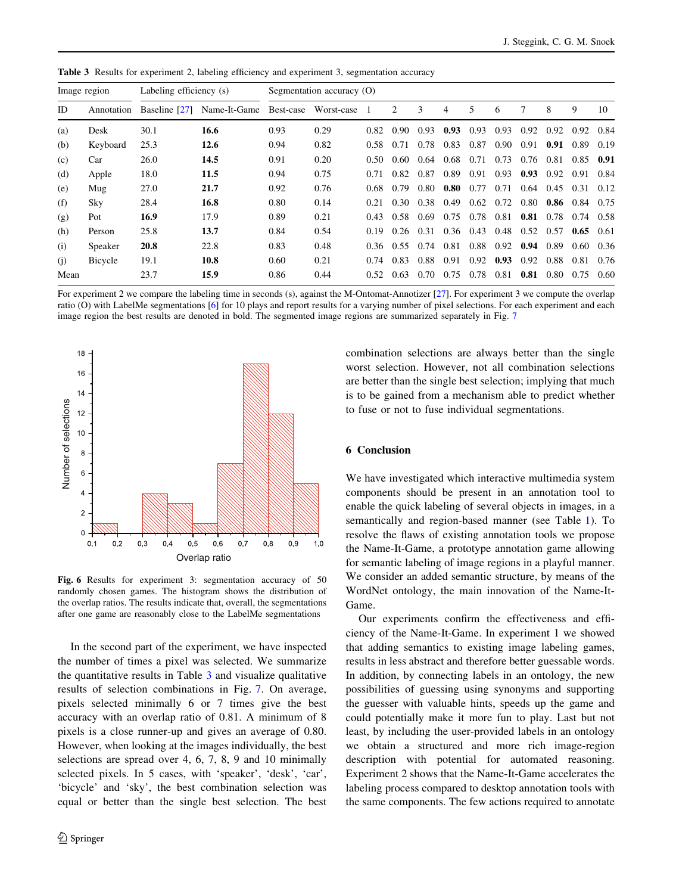| Image region |                | Labeling efficiency (s) |                                   | Segmentation accuracy (O) |      |                |      |      |      |                   |      |             |                      |      |      |
|--------------|----------------|-------------------------|-----------------------------------|---------------------------|------|----------------|------|------|------|-------------------|------|-------------|----------------------|------|------|
| ID           | Annotation     | Baseline [27]           | Name-It-Game Best-case Worst-case |                           |      | $\overline{1}$ | 2    | 3    | 4    | 5                 | 6    | 7           | 8                    | 9    | 10   |
| (a)          | Desk           | 30.1                    | 16.6                              | 0.93                      | 0.29 | 0.82           | 0.90 | 0.93 | 0.93 | 0.93              | 0.93 | 0.92        | 0.92                 | 0.92 | 0.84 |
| (b)          | Keyboard       | 25.3                    | 12.6                              | 0.94                      | 0.82 | 0.58           | 0.71 | 0.78 | 0.83 | 0.87              | 0.90 | 0.91        | 0.91                 | 0.89 | 0.19 |
| (c)          | Car            | 26.0                    | 14.5                              | 0.91                      | 0.20 | 0.50           | 0.60 | 0.64 | 0.68 | 0.71              | 0.73 | $0.76$ 0.81 |                      | 0.85 | 0.91 |
| (d)          | Apple          | 18.0                    | 11.5                              | 0.94                      | 0.75 | 0.71           | 0.82 | 0.87 | 0.89 | 0.91              | 0.93 | 0.93        | 0.92                 | 0.91 | 0.84 |
| (e)          | Mug            | 27.0                    | 21.7                              | 0.92                      | 0.76 | 0.68           | 0.79 | 0.80 |      | $0.80 \quad 0.77$ | 0.71 |             | $0.64$ $0.45$ $0.31$ |      | 0.12 |
| (f)          | Sky            | 28.4                    | 16.8                              | 0.80                      | 0.14 | 0.21           | 0.30 | 0.38 | 0.49 | 0.62              | 0.72 | 0.80        | 0.86                 | 0.84 | 0.75 |
| (g)          | Pot            | 16.9                    | 17.9                              | 0.89                      | 0.21 | 0.43           | 0.58 | 0.69 | 0.75 | 0.78              | 0.81 | 0.81        | 0.78                 | 0.74 | 0.58 |
| (h)          | Person         | 25.8                    | 13.7                              | 0.84                      | 0.54 | 0.19           | 0.26 | 0.31 |      | $0.36 \quad 0.43$ | 0.48 | 0.52 0.57   |                      | 0.65 | 0.61 |
| (i)          | Speaker        | 20.8                    | 22.8                              | 0.83                      | 0.48 | 0.36           | 0.55 | 0.74 | 0.81 | 0.88              | 0.92 | 0.94        | 0.89                 | 0.60 | 0.36 |
| (i)          | <b>Bicycle</b> | 19.1                    | 10.8                              | 0.60                      | 0.21 | 0.74           | 0.83 | 0.88 | 0.91 | 0.92              | 0.93 | 0.92        | 0.88                 | 0.81 | 0.76 |
| Mean         |                | 23.7                    | 15.9                              | 0.86                      | 0.44 | 0.52           | 0.63 | 0.70 | 0.75 | 0.78              | 0.81 | 0.81        | 0.80                 | 0.75 | 0.60 |

<span id="page-9-0"></span>Table 3 Results for experiment 2, labeling efficiency and experiment 3, segmentation accuracy

For experiment 2 we compare the labeling time in seconds (s), against the M-Ontomat-Annotizer [\[27\]](#page-11-0). For experiment 3 we compute the overlap ratio (O) with LabelMe segmentations [[6](#page-11-0)] for 10 plays and report results for a varying number of pixel selections. For each experiment and each image region the best results are denoted in bold. The segmented image regions are summarized separately in Fig. [7](#page-10-0)



Fig. 6 Results for experiment 3: segmentation accuracy of 50 randomly chosen games. The histogram shows the distribution of the overlap ratios. The results indicate that, overall, the segmentations after one game are reasonably close to the LabelMe segmentations

In the second part of the experiment, we have inspected the number of times a pixel was selected. We summarize the quantitative results in Table 3 and visualize qualitative results of selection combinations in Fig. [7](#page-10-0). On average, pixels selected minimally 6 or 7 times give the best accuracy with an overlap ratio of 0.81. A minimum of 8 pixels is a close runner-up and gives an average of 0.80. However, when looking at the images individually, the best selections are spread over 4, 6, 7, 8, 9 and 10 minimally selected pixels. In 5 cases, with 'speaker', 'desk', 'car', 'bicycle' and 'sky', the best combination selection was equal or better than the single best selection. The best combination selections are always better than the single worst selection. However, not all combination selections are better than the single best selection; implying that much is to be gained from a mechanism able to predict whether to fuse or not to fuse individual segmentations.

## 6 Conclusion

We have investigated which interactive multimedia system components should be present in an annotation tool to enable the quick labeling of several objects in images, in a semantically and region-based manner (see Table [1\)](#page-3-0). To resolve the flaws of existing annotation tools we propose the Name-It-Game, a prototype annotation game allowing for semantic labeling of image regions in a playful manner. We consider an added semantic structure, by means of the WordNet ontology, the main innovation of the Name-It-Game.

Our experiments confirm the effectiveness and efficiency of the Name-It-Game. In experiment 1 we showed that adding semantics to existing image labeling games, results in less abstract and therefore better guessable words. In addition, by connecting labels in an ontology, the new possibilities of guessing using synonyms and supporting the guesser with valuable hints, speeds up the game and could potentially make it more fun to play. Last but not least, by including the user-provided labels in an ontology we obtain a structured and more rich image-region description with potential for automated reasoning. Experiment 2 shows that the Name-It-Game accelerates the labeling process compared to desktop annotation tools with the same components. The few actions required to annotate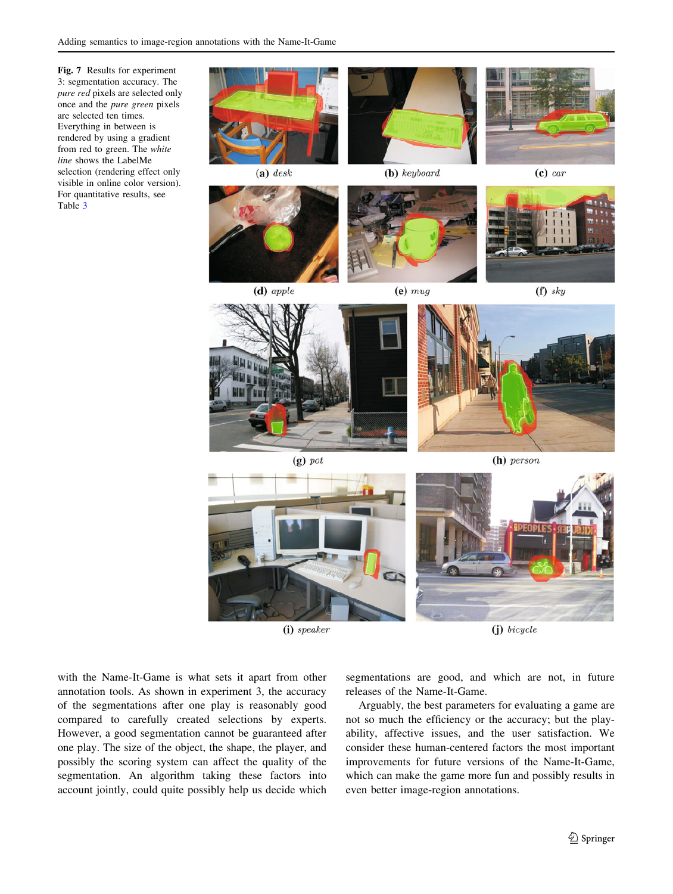<span id="page-10-0"></span>Fig. 7 Results for experiment 3: segmentation accuracy. The pure red pixels are selected only once and the pure green pixels are selected ten times. Everything in between is rendered by using a gradient from red to green. The white line shows the LabelMe selection (rendering effect only visible in online color version). For quantitative results, see Table [3](#page-9-0)



 $(a)$  desk



 $(b)$  keyboard



 $(c)$  car



 $(d)$  apple

(i) speaker





 $(f)$  sky



(j) bicycle

with the Name-It-Game is what sets it apart from other annotation tools. As shown in experiment 3, the accuracy of the segmentations after one play is reasonably good compared to carefully created selections by experts. However, a good segmentation cannot be guaranteed after one play. The size of the object, the shape, the player, and possibly the scoring system can affect the quality of the segmentation. An algorithm taking these factors into account jointly, could quite possibly help us decide which segmentations are good, and which are not, in future releases of the Name-It-Game.

Arguably, the best parameters for evaluating a game are not so much the efficiency or the accuracy; but the playability, affective issues, and the user satisfaction. We consider these human-centered factors the most important improvements for future versions of the Name-It-Game, which can make the game more fun and possibly results in even better image-region annotations.